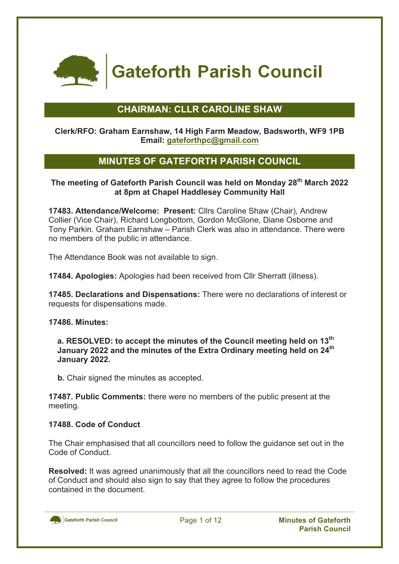

**Gateforth Parish Council** 

# **CHAIRMAN: CLLR CAROLINE SHAW**

#### **Clerk/RFO: Graham Earnshaw, 14 High Farm Meadow, Badsworth, WF9 1PB Email: gateforthpc@gmail.com**

# **MINUTES OF GATEFORTH PARISH COUNCIL**

### **The meeting of Gateforth Parish Council was held on Monday 28th March 2022 at 8pm at Chapel Haddlesey Community Hall**

**17483. Attendance/Welcome: Present:** Cllrs Caroline Shaw (Chair), Andrew Collier (Vice Chair), Richard Longbottom, Gordon McGlone, Diane Osborne and Tony Parkin. Graham Earnshaw – Parish Clerk was also in attendance. There were no members of the public in attendance.

The Attendance Book was not available to sign.

**17484. Apologies:** Apologies had been received from Cllr Sherratt (illness).

**17485. Declarations and Dispensations:** There were no declarations of interest or requests for dispensations made.

**17486. Minutes:**

**a. RESOLVED: to accept the minutes of the Council meeting held on 13th January 2022 and the minutes of the Extra Ordinary meeting held on 24th January 2022.**

**b.** Chair signed the minutes as accepted.

**17487. Public Comments:** there were no members of the public present at the meeting.

#### **17488. Code of Conduct**

The Chair emphasised that all councillors need to follow the guidance set out in the Code of Conduct.

**Resolved:** It was agreed unanimously that all the councillors need to read the Code of Conduct and should also sign to say that they agree to follow the procedures contained in the document.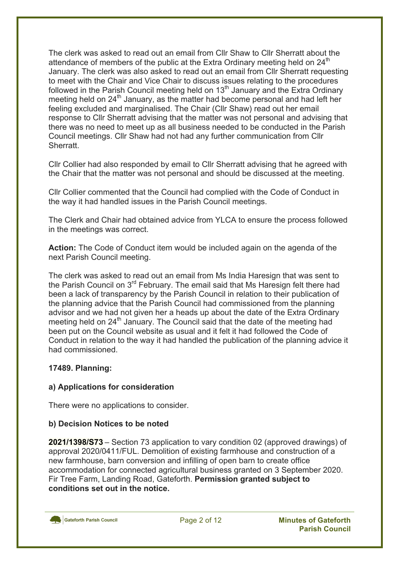The clerk was asked to read out an email from Cllr Shaw to Cllr Sherratt about the attendance of members of the public at the Extra Ordinary meeting held on 24<sup>th</sup> January. The clerk was also asked to read out an email from Cllr Sherratt requesting to meet with the Chair and Vice Chair to discuss issues relating to the procedures followed in the Parish Council meeting held on  $13<sup>th</sup>$  January and the Extra Ordinary meeting held on 24<sup>th</sup> January, as the matter had become personal and had left her feeling excluded and marginalised. The Chair (Cllr Shaw) read out her email response to Cllr Sherratt advising that the matter was not personal and advising that there was no need to meet up as all business needed to be conducted in the Parish Council meetings. Cllr Shaw had not had any further communication from Cllr **Sherratt** 

Cllr Collier had also responded by email to Cllr Sherratt advising that he agreed with the Chair that the matter was not personal and should be discussed at the meeting.

Cllr Collier commented that the Council had complied with the Code of Conduct in the way it had handled issues in the Parish Council meetings.

The Clerk and Chair had obtained advice from YLCA to ensure the process followed in the meetings was correct.

**Action:** The Code of Conduct item would be included again on the agenda of the next Parish Council meeting.

The clerk was asked to read out an email from Ms India Haresign that was sent to the Parish Council on 3<sup>rd</sup> February. The email said that Ms Haresign felt there had been a lack of transparency by the Parish Council in relation to their publication of the planning advice that the Parish Council had commissioned from the planning advisor and we had not given her a heads up about the date of the Extra Ordinary meeting held on 24<sup>th</sup> January. The Council said that the date of the meeting had been put on the Council website as usual and it felt it had followed the Code of Conduct in relation to the way it had handled the publication of the planning advice it had commissioned.

#### **17489. Planning:**

### **a) Applications for consideration**

There were no applications to consider.

#### **b) Decision Notices to be noted**

**2021/1398/S73** – Section 73 application to vary condition 02 (approved drawings) of approval 2020/0411/FUL. Demolition of existing farmhouse and construction of a new farmhouse, barn conversion and infilling of open barn to create office accommodation for connected agricultural business granted on 3 September 2020. Fir Tree Farm, Landing Road, Gateforth. **Permission granted subject to conditions set out in the notice.**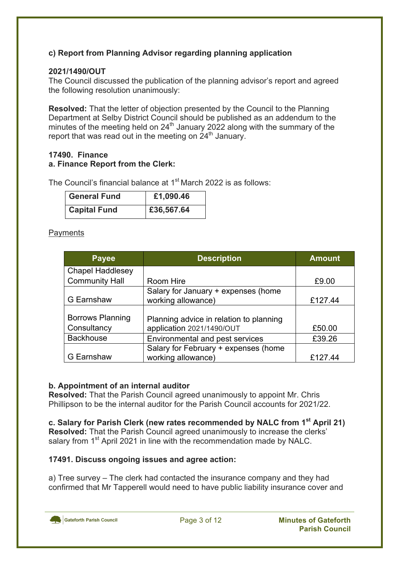## **c) Report from Planning Advisor regarding planning application**

### **2021/1490/OUT**

The Council discussed the publication of the planning advisor's report and agreed the following resolution unanimously:

**Resolved:** That the letter of objection presented by the Council to the Planning Department at Selby District Council should be published as an addendum to the minutes of the meeting held on 24<sup>th</sup> January 2022 along with the summary of the report that was read out in the meeting on 24<sup>th</sup> January.

#### **17490. Finance a. Finance Report from the Clerk:**

The Council's financial balance at 1<sup>st</sup> March 2022 is as follows:

| <b>General Fund</b> | £1,090.46  |
|---------------------|------------|
| <b>Capital Fund</b> | £36,567.64 |

#### **Payments**

| <b>Payee</b>            | <b>Description</b>                      | <b>Amount</b> |
|-------------------------|-----------------------------------------|---------------|
| <b>Chapel Haddlesey</b> |                                         |               |
| <b>Community Hall</b>   | Room Hire                               | £9.00         |
|                         | Salary for January + expenses (home     |               |
| G Earnshaw              | working allowance)                      | £127.44       |
|                         |                                         |               |
| <b>Borrows Planning</b> | Planning advice in relation to planning |               |
| Consultancy             | application 2021/1490/OUT               | £50.00        |
| <b>Backhouse</b>        | Environmental and pest services         | £39.26        |
|                         | Salary for February + expenses (home    |               |
| G Earnshaw              | working allowance)                      | £127.44       |

### **b. Appointment of an internal auditor**

**Resolved:** That the Parish Council agreed unanimously to appoint Mr. Chris Phillipson to be the internal auditor for the Parish Council accounts for 2021/22.

**c. Salary for Parish Clerk (new rates recommended by NALC from 1st April 21) Resolved:** That the Parish Council agreed unanimously to increase the clerks' salary from 1<sup>st</sup> April 2021 in line with the recommendation made by NALC.

### **17491. Discuss ongoing issues and agree action:**

a) Tree survey – The clerk had contacted the insurance company and they had confirmed that Mr Tapperell would need to have public liability insurance cover and

Gateforth Parish Council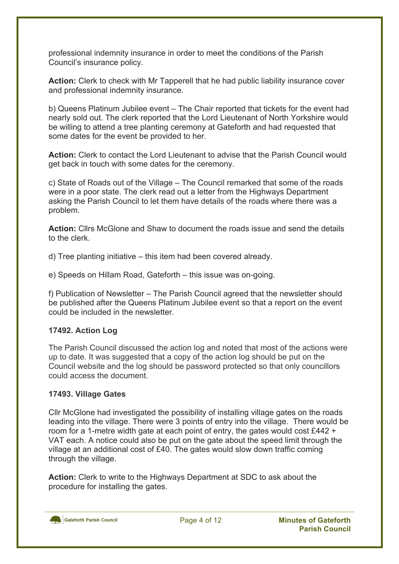professional indemnity insurance in order to meet the conditions of the Parish Council's insurance policy.

**Action:** Clerk to check with Mr Tapperell that he had public liability insurance cover and professional indemnity insurance.

b) Queens Platinum Jubilee event – The Chair reported that tickets for the event had nearly sold out. The clerk reported that the Lord Lieutenant of North Yorkshire would be willing to attend a tree planting ceremony at Gateforth and had requested that some dates for the event be provided to her.

**Action:** Clerk to contact the Lord Lieutenant to advise that the Parish Council would get back in touch with some dates for the ceremony.

c) State of Roads out of the Village – The Council remarked that some of the roads were in a poor state. The clerk read out a letter from the Highways Department asking the Parish Council to let them have details of the roads where there was a problem.

**Action:** Cllrs McGlone and Shaw to document the roads issue and send the details to the clerk.

d) Tree planting initiative – this item had been covered already.

e) Speeds on Hillam Road, Gateforth – this issue was on-going.

f) Publication of Newsletter – The Parish Council agreed that the newsletter should be published after the Queens Platinum Jubilee event so that a report on the event could be included in the newsletter.

### **17492. Action Log**

The Parish Council discussed the action log and noted that most of the actions were up to date. It was suggested that a copy of the action log should be put on the Council website and the log should be password protected so that only councillors could access the document.

### **17493. Village Gates**

Cllr McGlone had investigated the possibility of installing village gates on the roads leading into the village. There were 3 points of entry into the village. There would be room for a 1-metre width gate at each point of entry, the gates would cost £442 + VAT each. A notice could also be put on the gate about the speed limit through the village at an additional cost of £40. The gates would slow down traffic coming through the village.

**Action:** Clerk to write to the Highways Department at SDC to ask about the procedure for installing the gates.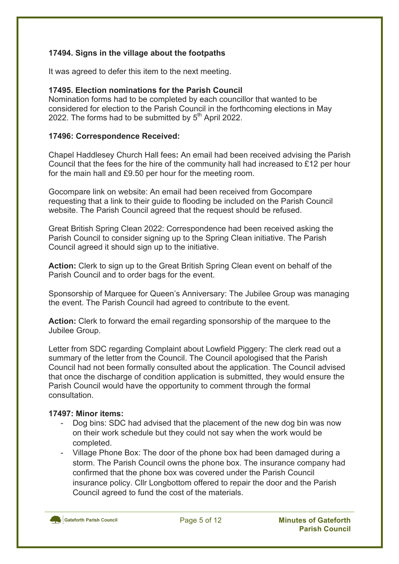### **17494. Signs in the village about the footpaths**

It was agreed to defer this item to the next meeting.

### **17495. Election nominations for the Parish Council**

Nomination forms had to be completed by each councillor that wanted to be considered for election to the Parish Council in the forthcoming elections in May 2022. The forms had to be submitted by  $5<sup>th</sup>$  April 2022.

#### **17496: Correspondence Received:**

Chapel Haddlesey Church Hall fees**:** An email had been received advising the Parish Council that the fees for the hire of the community hall had increased to £12 per hour for the main hall and £9.50 per hour for the meeting room.

Gocompare link on website: An email had been received from Gocompare requesting that a link to their guide to flooding be included on the Parish Council website. The Parish Council agreed that the request should be refused.

Great British Spring Clean 2022: Correspondence had been received asking the Parish Council to consider signing up to the Spring Clean initiative. The Parish Council agreed it should sign up to the initiative.

**Action:** Clerk to sign up to the Great British Spring Clean event on behalf of the Parish Council and to order bags for the event.

Sponsorship of Marquee for Queen's Anniversary: The Jubilee Group was managing the event. The Parish Council had agreed to contribute to the event.

**Action:** Clerk to forward the email regarding sponsorship of the marquee to the Jubilee Group.

Letter from SDC regarding Complaint about Lowfield Piggery: The clerk read out a summary of the letter from the Council. The Council apologised that the Parish Council had not been formally consulted about the application. The Council advised that once the discharge of condition application is submitted, they would ensure the Parish Council would have the opportunity to comment through the formal consultation.

#### **17497: Minor items:**

- Dog bins: SDC had advised that the placement of the new dog bin was now on their work schedule but they could not say when the work would be completed.
- Village Phone Box: The door of the phone box had been damaged during a storm. The Parish Council owns the phone box. The insurance company had confirmed that the phone box was covered under the Parish Council insurance policy. Cllr Longbottom offered to repair the door and the Parish Council agreed to fund the cost of the materials.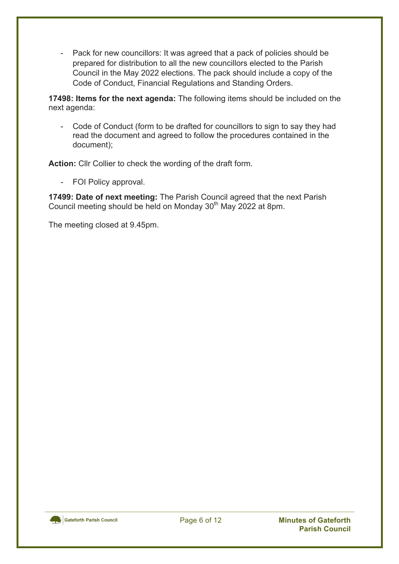- Pack for new councillors: It was agreed that a pack of policies should be prepared for distribution to all the new councillors elected to the Parish Council in the May 2022 elections. The pack should include a copy of the Code of Conduct, Financial Regulations and Standing Orders.

**17498: Items for the next agenda:** The following items should be included on the next agenda:

- Code of Conduct (form to be drafted for councillors to sign to say they had read the document and agreed to follow the procedures contained in the document);

**Action:** Cllr Collier to check the wording of the draft form.

- FOI Policy approval.

**17499: Date of next meeting:** The Parish Council agreed that the next Parish Council meeting should be held on Monday 30<sup>th</sup> May 2022 at 8pm.

The meeting closed at 9.45pm.

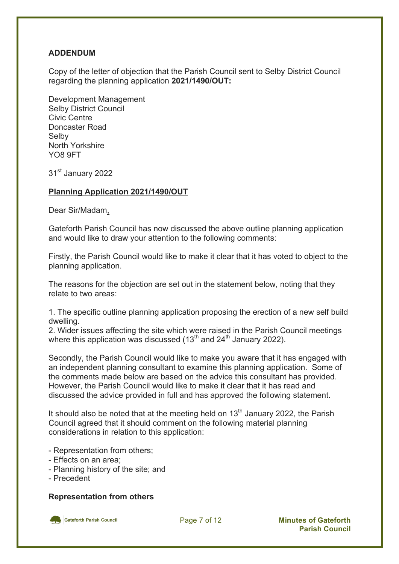### **ADDENDUM**

Copy of the letter of objection that the Parish Council sent to Selby District Council regarding the planning application **2021/1490/OUT:**

Development Management Selby District Council Civic Centre Doncaster Road Selby North Yorkshire YO8 9FT

31<sup>st</sup> January 2022

#### **Planning Application 2021/1490/OUT**

Dear Sir/Madam,

Gateforth Parish Council has now discussed the above outline planning application and would like to draw your attention to the following comments:

Firstly, the Parish Council would like to make it clear that it has voted to object to the planning application.

The reasons for the objection are set out in the statement below, noting that they relate to two areas:

1. The specific outline planning application proposing the erection of a new self build dwelling.

2. Wider issues affecting the site which were raised in the Parish Council meetings where this application was discussed  $(13<sup>th</sup>$  and  $24<sup>th</sup>$  January 2022).

Secondly, the Parish Council would like to make you aware that it has engaged with an independent planning consultant to examine this planning application. Some of the comments made below are based on the advice this consultant has provided. However, the Parish Council would like to make it clear that it has read and discussed the advice provided in full and has approved the following statement.

It should also be noted that at the meeting held on  $13<sup>th</sup>$  January 2022, the Parish Council agreed that it should comment on the following material planning considerations in relation to this application:

- Representation from others;
- Effects on an area;
- Planning history of the site; and
- Precedent

#### **Representation from others**

Gateforth Parish Council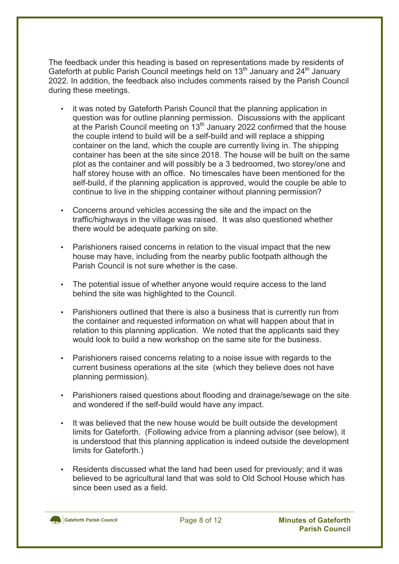The feedback under this heading is based on representations made by residents of Gateforth at public Parish Council meetings held on 13<sup>th</sup> January and 24<sup>th</sup> January 2022. In addition, the feedback also includes comments raised by the Parish Council during these meetings.

- it was noted by Gateforth Parish Council that the planning application in question was for outline planning permission. Discussions with the applicant at the Parish Council meeting on  $13<sup>th</sup>$  January 2022 confirmed that the house the couple intend to build will be a self-build and will replace a shipping container on the land, which the couple are currently living in. The shipping container has been at the site since 2018. The house will be built on the same plot as the container and will possibly be a 3 bedroomed, two storey/one and half storey house with an office. No timescales have been mentioned for the self-build, if the planning application is approved, would the couple be able to continue to live in the shipping container without planning permission?
- Concerns around vehicles accessing the site and the impact on the traffic/highways in the village was raised. It was also questioned whether there would be adequate parking on site.
- Parishioners raised concerns in relation to the visual impact that the new house may have, including from the nearby public footpath although the Parish Council is not sure whether is the case.
- The potential issue of whether anyone would require access to the land behind the site was highlighted to the Council.
- Parishioners outlined that there is also a business that is currently run from the container and requested information on what will happen about that in relation to this planning application. We noted that the applicants said they would look to build a new workshop on the same site for the business.
- Parishioners raised concerns relating to a noise issue with regards to the current business operations at the site (which they believe does not have planning permission).
- Parishioners raised questions about flooding and drainage/sewage on the site and wondered if the self-build would have any impact.
- It was believed that the new house would be built outside the development limits for Gateforth. (Following advice from a planning advisor (see below), it is understood that this planning application is indeed outside the development limits for Gateforth.)
- Residents discussed what the land had been used for previously; and it was believed to be agricultural land that was sold to Old School House which has since been used as a field.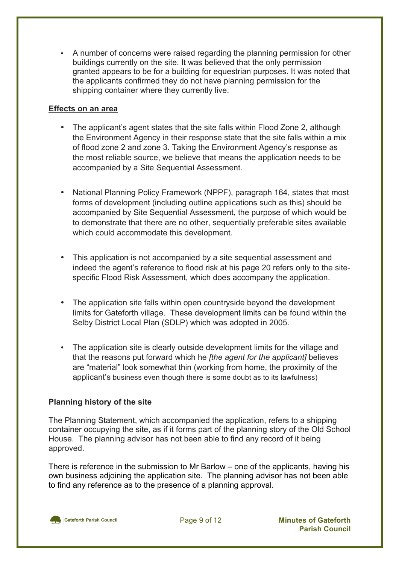• A number of concerns were raised regarding the planning permission for other buildings currently on the site. It was believed that the only permission granted appears to be for a building for equestrian purposes. It was noted that the applicants confirmed they do not have planning permission for the shipping container where they currently live.

### **Effects on an area**

- The applicant's agent states that the site falls within Flood Zone 2, although the Environment Agency in their response state that the site falls within a mix of flood zone 2 and zone 3. Taking the Environment Agency's response as the most reliable source, we believe that means the application needs to be accompanied by a Site Sequential Assessment.
- National Planning Policy Framework (NPPF), paragraph 164, states that most forms of development (including outline applications such as this) should be accompanied by Site Sequential Assessment, the purpose of which would be to demonstrate that there are no other, sequentially preferable sites available which could accommodate this development.
- This application is not accompanied by a site sequential assessment and indeed the agent's reference to flood risk at his page 20 refers only to the sitespecific Flood Risk Assessment, which does accompany the application.
- The application site falls within open countryside beyond the development limits for Gateforth village. These development limits can be found within the Selby District Local Plan (SDLP) which was adopted in 2005.
- The application site is clearly outside development limits for the village and that the reasons put forward which he *[the agent for the applicant]* believes are "material" look somewhat thin (working from home, the proximity of the applicant's business even though there is some doubt as to its lawfulness)

## **Planning history of the site**

The Planning Statement, which accompanied the application, refers to a shipping container occupying the site, as if it forms part of the planning story of the Old School House. The planning advisor has not been able to find any record of it being approved.

There is reference in the submission to Mr Barlow – one of the applicants, having his own business adjoining the application site. The planning advisor has not been able to find any reference as to the presence of a planning approval.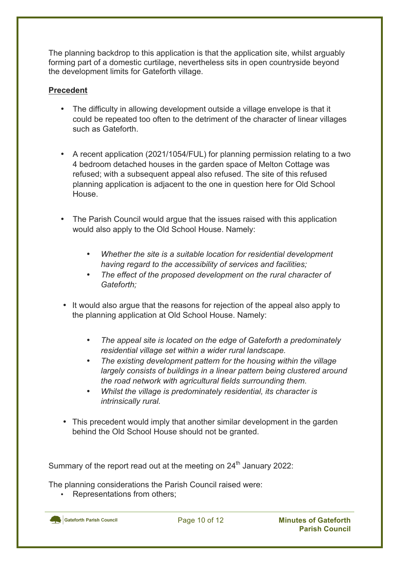The planning backdrop to this application is that the application site, whilst arguably forming part of a domestic curtilage, nevertheless sits in open countryside beyond the development limits for Gateforth village.

### **Precedent**

- The difficulty in allowing development outside a village envelope is that it could be repeated too often to the detriment of the character of linear villages such as Gateforth.
- A recent application (2021/1054/FUL) for planning permission relating to a two 4 bedroom detached houses in the garden space of Melton Cottage was refused; with a subsequent appeal also refused. The site of this refused planning application is adjacent to the one in question here for Old School **House**
- The Parish Council would argue that the issues raised with this application would also apply to the Old School House. Namely:
	- *Whether the site is a suitable location for residential development having regard to the accessibility of services and facilities;*
	- *The effect of the proposed development on the rural character of Gateforth;*
- It would also argue that the reasons for rejection of the appeal also apply to the planning application at Old School House. Namely:
	- *The appeal site is located on the edge of Gateforth a predominately residential village set within a wider rural landscape.*
	- *The existing development pattern for the housing within the village largely consists of buildings in a linear pattern being clustered around the road network with agricultural fields surrounding them.*
	- *Whilst the village is predominately residential, its character is intrinsically rural.*
- This precedent would imply that another similar development in the garden behind the Old School House should not be granted.

Summary of the report read out at the meeting on  $24<sup>th</sup>$  January 2022:

The planning considerations the Parish Council raised were:

Representations from others;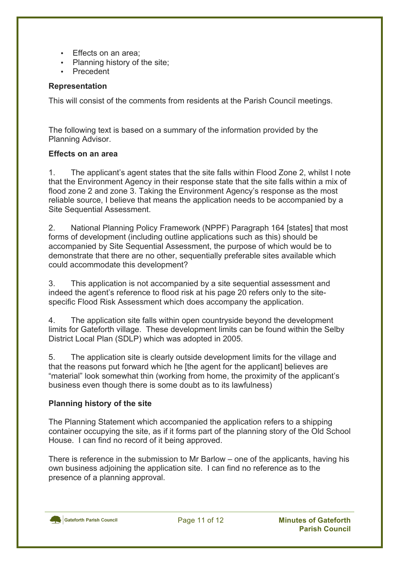- Effects on an area;
- Planning history of the site;
- Precedent

#### **Representation**

This will consist of the comments from residents at the Parish Council meetings.

The following text is based on a summary of the information provided by the Planning Advisor.

#### **Effects on an area**

1. The applicant's agent states that the site falls within Flood Zone 2, whilst I note that the Environment Agency in their response state that the site falls within a mix of flood zone 2 and zone 3. Taking the Environment Agency's response as the most reliable source, I believe that means the application needs to be accompanied by a Site Sequential Assessment.

2. National Planning Policy Framework (NPPF) Paragraph 164 [states] that most forms of development (including outline applications such as this) should be accompanied by Site Sequential Assessment, the purpose of which would be to demonstrate that there are no other, sequentially preferable sites available which could accommodate this development?

3. This application is not accompanied by a site sequential assessment and indeed the agent's reference to flood risk at his page 20 refers only to the sitespecific Flood Risk Assessment which does accompany the application.

4. The application site falls within open countryside beyond the development limits for Gateforth village. These development limits can be found within the Selby District Local Plan (SDLP) which was adopted in 2005.

5. The application site is clearly outside development limits for the village and that the reasons put forward which he [the agent for the applicant] believes are "material" look somewhat thin (working from home, the proximity of the applicant's business even though there is some doubt as to its lawfulness)

### **Planning history of the site**

The Planning Statement which accompanied the application refers to a shipping container occupying the site, as if it forms part of the planning story of the Old School House. I can find no record of it being approved.

There is reference in the submission to Mr Barlow – one of the applicants, having his own business adjoining the application site. I can find no reference as to the presence of a planning approval.